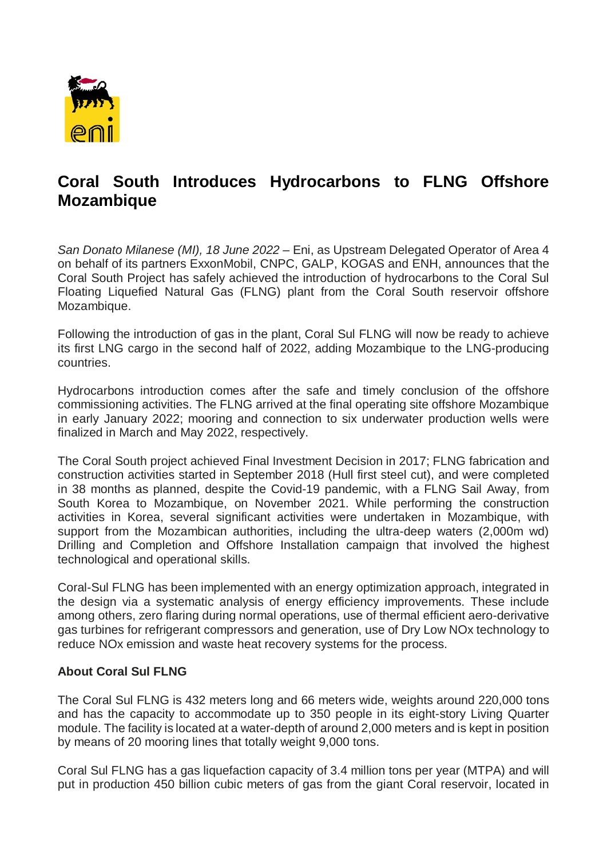

## **Coral South Introduces Hydrocarbons to FLNG Offshore Mozambique**

*San Donato Milanese (MI), 18 June 2022* – Eni, as Upstream Delegated Operator of Area 4 on behalf of its partners ExxonMobil, CNPC, GALP, KOGAS and ENH, announces that the Coral South Project has safely achieved the introduction of hydrocarbons to the Coral Sul Floating Liquefied Natural Gas (FLNG) plant from the Coral South reservoir offshore Mozambique.

Following the introduction of gas in the plant, Coral Sul FLNG will now be ready to achieve its first LNG cargo in the second half of 2022, adding Mozambique to the LNG-producing countries.

Hydrocarbons introduction comes after the safe and timely conclusion of the offshore commissioning activities. The FLNG arrived at the final operating site offshore Mozambique in early January 2022; mooring and connection to six underwater production wells were finalized in March and May 2022, respectively.

The Coral South project achieved Final Investment Decision in 2017; FLNG fabrication and construction activities started in September 2018 (Hull first steel cut), and were completed in 38 months as planned, despite the Covid-19 pandemic, with a FLNG Sail Away, from South Korea to Mozambique, on November 2021. While performing the construction activities in Korea, several significant activities were undertaken in Mozambique, with support from the Mozambican authorities, including the ultra-deep waters (2,000m wd) Drilling and Completion and Offshore Installation campaign that involved the highest technological and operational skills.

Coral-Sul FLNG has been implemented with an energy optimization approach, integrated in the design via a systematic analysis of energy efficiency improvements. These include among others, zero flaring during normal operations, use of thermal efficient aero-derivative gas turbines for refrigerant compressors and generation, use of Dry Low NOx technology to reduce NOx emission and waste heat recovery systems for the process.

## **About Coral Sul FLNG**

The Coral Sul FLNG is 432 meters long and 66 meters wide, weights around 220,000 tons and has the capacity to accommodate up to 350 people in its eight-story Living Quarter module. The facility is located at a water-depth of around 2,000 meters and is kept in position by means of 20 mooring lines that totally weight 9,000 tons.

Coral Sul FLNG has a gas liquefaction capacity of 3.4 million tons per year (MTPA) and will put in production 450 billion cubic meters of gas from the giant Coral reservoir, located in